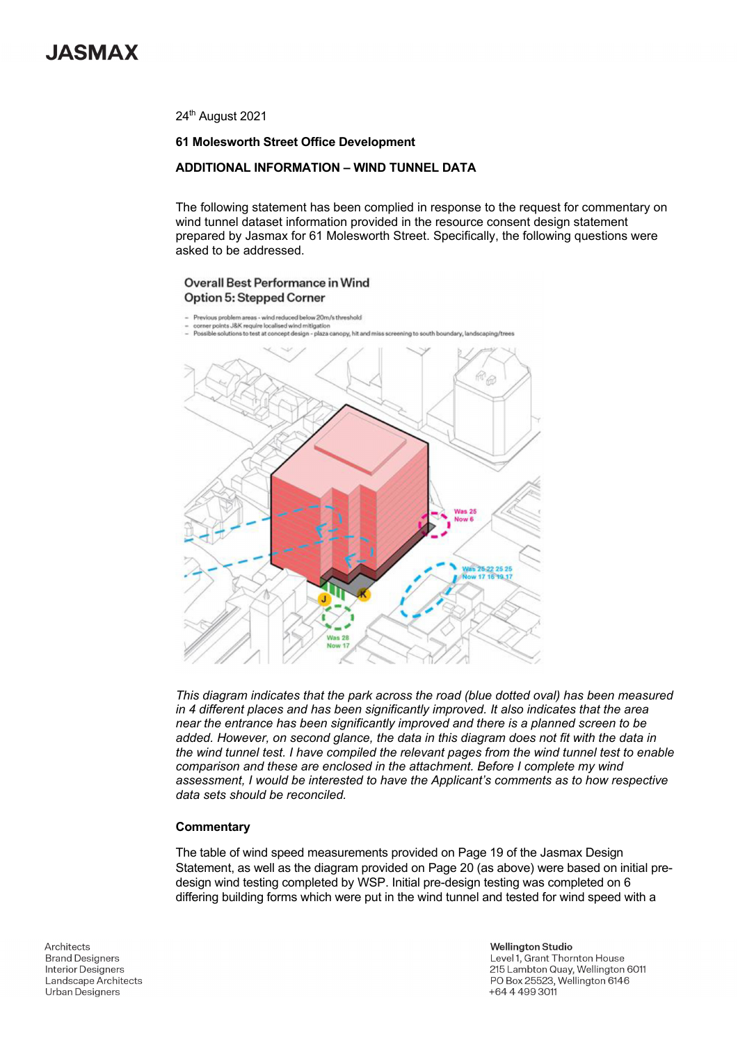

24<sup>th</sup> August 2021

### **61 Molesworth Street Office Development**

## **ADDITIONAL INFORMATION – WIND TUNNEL DATA**

The following statement has been complied in response to the request for commentary on wind tunnel dataset information provided in the resource consent design statement prepared by Jasmax for 61 Molesworth Street. Specifically, the following questions were asked to be addressed.

### Overall Best Performance in Wind Option 5: Stepped Corner

- Previous problem areas wind reduced below 20m/s threshold
- .<br>rner points J&K require localised wind mitigation<br>ssible solutions to test at concept design plaza c py, hit and r



*This diagram indicates that the park across the road (blue dotted oval) has been measured in 4 different places and has been significantly improved. It also indicates that the area near the entrance has been significantly improved and there is a planned screen to be added. However, on second glance, the data in this diagram does not fit with the data in the wind tunnel test. I have compiled the relevant pages from the wind tunnel test to enable comparison and these are enclosed in the attachment. Before I complete my wind assessment, I would be interested to have the Applicant's comments as to how respective data sets should be reconciled.* 

#### **Commentary**

The table of wind speed measurements provided on Page 19 of the Jasmax Design Statement, as well as the diagram provided on Page 20 (as above) were based on initial predesign wind testing completed by WSP. Initial pre-design testing was completed on 6 differing building forms which were put in the wind tunnel and tested for wind speed with a

Architects **Brand Designers Interior Designers** Landscape Architects **Urban Designers** 

**Wellington Studio** Level 1, Grant Thornton House 215 Lambton Quay, Wellington 6011 PO Box 25523, Wellington 6146 +64 4 499 3011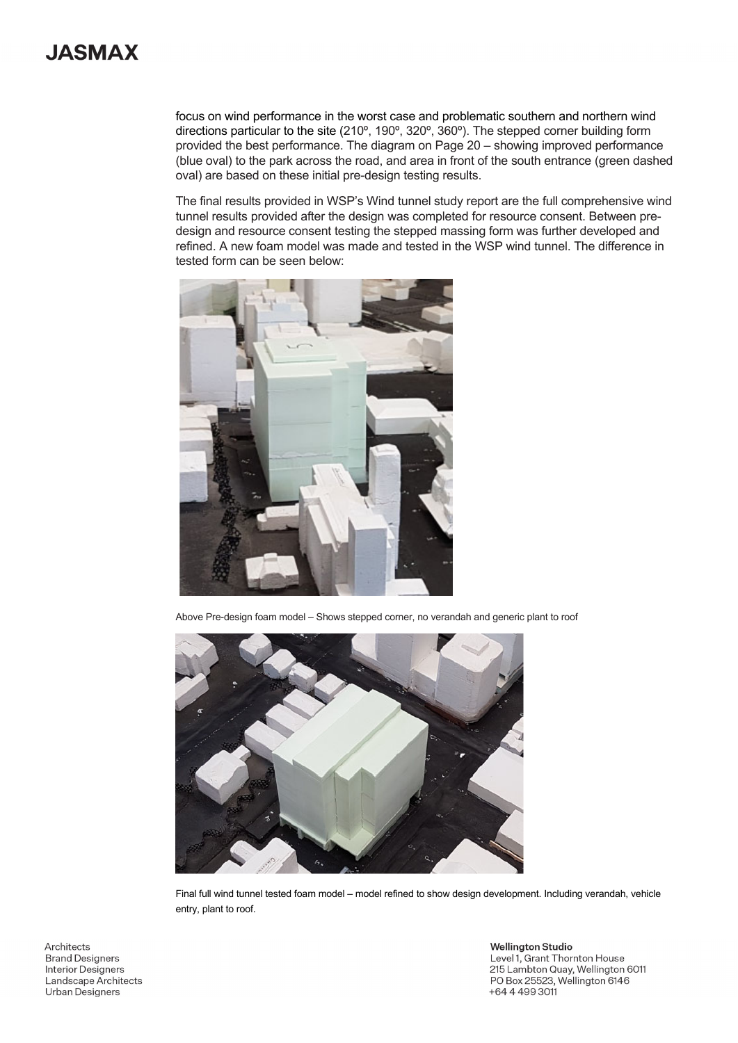# **JASMAX**

focus on wind performance in the worst case and problematic southern and northern wind directions particular to the site (210º, 190º, 320º, 360º). The stepped corner building form provided the best performance. The diagram on Page 20 – showing improved performance (blue oval) to the park across the road, and area in front of the south entrance (green dashed oval) are based on these initial pre-design testing results.

The final results provided in WSP's Wind tunnel study report are the full comprehensive wind tunnel results provided after the design was completed for resource consent. Between predesign and resource consent testing the stepped massing form was further developed and refined. A new foam model was made and tested in the WSP wind tunnel. The difference in tested form can be seen below:



Above Pre-design foam model – Shows stepped corner, no verandah and generic plant to roof



Final full wind tunnel tested foam model – model refined to show design development. Including verandah, vehicle entry, plant to roof.

Architects **Brand Designers** Interior Designers Landscape Architects **Urban Designers** 

**Wellington Studio** Level 1, Grant Thornton House 215 Lambton Quay, Wellington 6011 PO Box 25523, Wellington 6146 +64 4 4 9 3 3 0 11